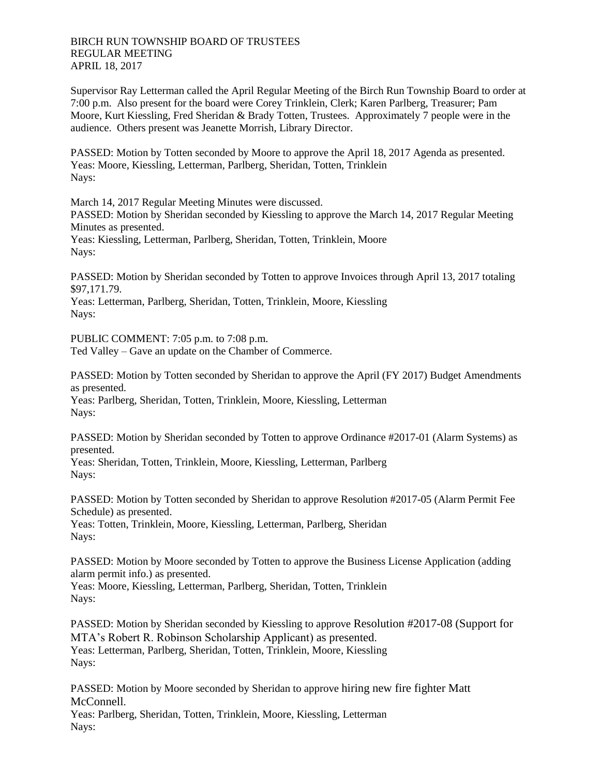Supervisor Ray Letterman called the April Regular Meeting of the Birch Run Township Board to order at 7:00 p.m. Also present for the board were Corey Trinklein, Clerk; Karen Parlberg, Treasurer; Pam Moore, Kurt Kiessling, Fred Sheridan & Brady Totten, Trustees. Approximately 7 people were in the audience. Others present was Jeanette Morrish, Library Director.

PASSED: Motion by Totten seconded by Moore to approve the April 18, 2017 Agenda as presented. Yeas: Moore, Kiessling, Letterman, Parlberg, Sheridan, Totten, Trinklein Nays:

March 14, 2017 Regular Meeting Minutes were discussed.

PASSED: Motion by Sheridan seconded by Kiessling to approve the March 14, 2017 Regular Meeting Minutes as presented.

Yeas: Kiessling, Letterman, Parlberg, Sheridan, Totten, Trinklein, Moore Nays:

PASSED: Motion by Sheridan seconded by Totten to approve Invoices through April 13, 2017 totaling \$97,171.79.

Yeas: Letterman, Parlberg, Sheridan, Totten, Trinklein, Moore, Kiessling Nays:

PUBLIC COMMENT: 7:05 p.m. to 7:08 p.m. Ted Valley – Gave an update on the Chamber of Commerce.

PASSED: Motion by Totten seconded by Sheridan to approve the April (FY 2017) Budget Amendments as presented. Yeas: Parlberg, Sheridan, Totten, Trinklein, Moore, Kiessling, Letterman Nays:

PASSED: Motion by Sheridan seconded by Totten to approve Ordinance #2017-01 (Alarm Systems) as presented.

Yeas: Sheridan, Totten, Trinklein, Moore, Kiessling, Letterman, Parlberg Nays:

PASSED: Motion by Totten seconded by Sheridan to approve Resolution #2017-05 (Alarm Permit Fee Schedule) as presented.

Yeas: Totten, Trinklein, Moore, Kiessling, Letterman, Parlberg, Sheridan Nays:

PASSED: Motion by Moore seconded by Totten to approve the Business License Application (adding alarm permit info.) as presented.

Yeas: Moore, Kiessling, Letterman, Parlberg, Sheridan, Totten, Trinklein Nays:

PASSED: Motion by Sheridan seconded by Kiessling to approve Resolution #2017-08 (Support for MTA's Robert R. Robinson Scholarship Applicant) as presented. Yeas: Letterman, Parlberg, Sheridan, Totten, Trinklein, Moore, Kiessling Nays:

PASSED: Motion by Moore seconded by Sheridan to approve hiring new fire fighter Matt McConnell. Yeas: Parlberg, Sheridan, Totten, Trinklein, Moore, Kiessling, Letterman Nays: